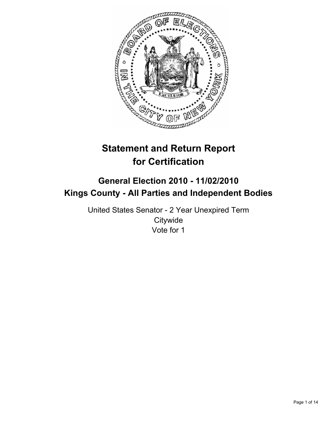

# **Statement and Return Report for Certification**

## **General Election 2010 - 11/02/2010 Kings County - All Parties and Independent Bodies**

United States Senator - 2 Year Unexpired Term **Citywide** Vote for 1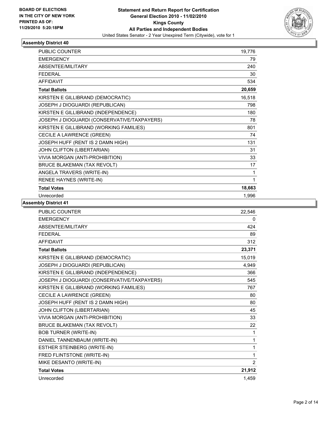

| <b>PUBLIC COUNTER</b>                       | 19,776 |
|---------------------------------------------|--------|
| <b>EMERGENCY</b>                            | 79     |
| ABSENTEE/MILITARY                           | 240    |
| <b>FEDERAL</b>                              | 30     |
| <b>AFFIDAVIT</b>                            | 534    |
| <b>Total Ballots</b>                        | 20,659 |
| KIRSTEN E GILLIBRAND (DEMOCRATIC)           | 16,518 |
| JOSEPH J DIOGUARDI (REPUBLICAN)             | 798    |
| KIRSTEN E GILLIBRAND (INDEPENDENCE)         | 180    |
| JOSEPH J DIOGUARDI (CONSERVATIVE/TAXPAYERS) | 78     |
| KIRSTEN E GILLIBRAND (WORKING FAMILIES)     | 801    |
| CECILE A LAWRENCE (GREEN)                   | 74     |
| JOSEPH HUFF (RENT IS 2 DAMN HIGH)           | 131    |
| JOHN CLIFTON (LIBERTARIAN)                  | 31     |
| VIVIA MORGAN (ANTI-PROHIBITION)             | 33     |
| <b>BRUCE BLAKEMAN (TAX REVOLT)</b>          | 17     |
| ANGELA TRAVERS (WRITE-IN)                   | 1      |
| RENEE HAYNES (WRITE-IN)                     | 1      |
| <b>Total Votes</b>                          | 18,663 |
| Unrecorded                                  | 1,996  |

| PUBLIC COUNTER                              | 22,546 |
|---------------------------------------------|--------|
| <b>EMERGENCY</b>                            | 0      |
| ABSENTEE/MILITARY                           | 424    |
| <b>FEDERAL</b>                              | 89     |
| <b>AFFIDAVIT</b>                            | 312    |
| <b>Total Ballots</b>                        | 23,371 |
| KIRSTEN E GILLIBRAND (DEMOCRATIC)           | 15,019 |
| JOSEPH J DIOGUARDI (REPUBLICAN)             | 4,949  |
| KIRSTEN E GILLIBRAND (INDEPENDENCE)         | 366    |
| JOSEPH J DIOGUARDI (CONSERVATIVE/TAXPAYERS) | 545    |
| KIRSTEN E GILLIBRAND (WORKING FAMILIES)     | 767    |
| CECILE A LAWRENCE (GREEN)                   | 80     |
| JOSEPH HUFF (RENT IS 2 DAMN HIGH)           | 80     |
| JOHN CLIFTON (LIBERTARIAN)                  | 45     |
| VIVIA MORGAN (ANTI-PROHIBITION)             | 33     |
| <b>BRUCE BLAKEMAN (TAX REVOLT)</b>          | 22     |
| <b>BOB TURNER (WRITE-IN)</b>                | 1      |
| DANIEL TANNENBAUM (WRITE-IN)                | 1      |
| ESTHER STEINBERG (WRITE-IN)                 | 1      |
| FRED FLINTSTONE (WRITE-IN)                  | 1      |
| MIKE DESANTO (WRITE-IN)                     | 2      |
| <b>Total Votes</b>                          | 21,912 |
| Unrecorded                                  | 1,459  |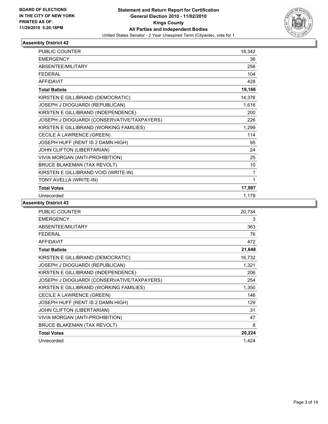

| <b>PUBLIC COUNTER</b>                       | 18,342 |
|---------------------------------------------|--------|
| <b>EMERGENCY</b>                            | 36     |
| <b>ABSENTEE/MILITARY</b>                    | 256    |
| <b>FEDERAL</b>                              | 104    |
| <b>AFFIDAVIT</b>                            | 428    |
| <b>Total Ballots</b>                        | 19,166 |
| KIRSTEN E GILLIBRAND (DEMOCRATIC)           | 14,376 |
| JOSEPH J DIOGUARDI (REPUBLICAN)             | 1,616  |
| KIRSTEN E GILLIBRAND (INDEPENDENCE)         | 200    |
| JOSEPH J DIOGUARDI (CONSERVATIVE/TAXPAYERS) | 226    |
| KIRSTEN E GILLIBRAND (WORKING FAMILIES)     | 1,299  |
| CECILE A LAWRENCE (GREEN)                   | 114    |
| JOSEPH HUFF (RENT IS 2 DAMN HIGH)           | 95     |
| JOHN CLIFTON (LIBERTARIAN)                  | 24     |
| VIVIA MORGAN (ANTI-PROHIBITION)             | 25     |
| <b>BRUCE BLAKEMAN (TAX REVOLT)</b>          | 10     |
| KIRSTEN E GILLIBRAND VOID (WRITE-IN)        | 1      |
| TONY AVELLA (WRITE-IN)                      | 1      |
| <b>Total Votes</b>                          | 17,987 |
| Unrecorded                                  | 1,179  |

| <b>PUBLIC COUNTER</b>                       | 20,734 |
|---------------------------------------------|--------|
| <b>EMERGENCY</b>                            | 3      |
| ABSENTEE/MILITARY                           | 363    |
| <b>FEDERAL</b>                              | 76     |
| <b>AFFIDAVIT</b>                            | 472    |
| <b>Total Ballots</b>                        | 21,648 |
| KIRSTEN E GILLIBRAND (DEMOCRATIC)           | 16,732 |
| JOSEPH J DIOGUARDI (REPUBLICAN)             | 1,321  |
| KIRSTEN E GILLIBRAND (INDEPENDENCE)         | 206    |
| JOSEPH J DIOGUARDI (CONSERVATIVE/TAXPAYERS) | 254    |
| KIRSTEN E GILLIBRAND (WORKING FAMILIES)     | 1,350  |
| CECILE A LAWRENCE (GREEN)                   | 146    |
| JOSEPH HUFF (RENT IS 2 DAMN HIGH)           | 129    |
| JOHN CLIFTON (LIBERTARIAN)                  | 31     |
| VIVIA MORGAN (ANTI-PROHIBITION)             | 47     |
| BRUCE BLAKEMAN (TAX REVOLT)                 | 8      |
| <b>Total Votes</b>                          | 20,224 |
| Unrecorded                                  | 1,424  |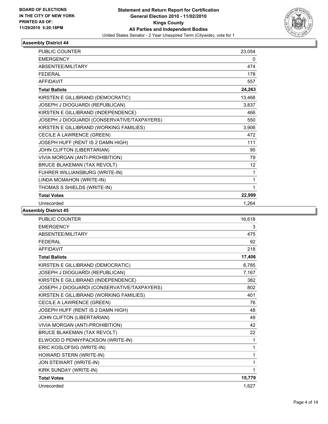

| <b>PUBLIC COUNTER</b>                       | 23,054 |
|---------------------------------------------|--------|
| <b>EMERGENCY</b>                            | 0      |
| ABSENTEE/MILITARY                           | 474    |
| <b>FEDERAL</b>                              | 178    |
| <b>AFFIDAVIT</b>                            | 557    |
| <b>Total Ballots</b>                        | 24,263 |
| KIRSTEN E GILLIBRAND (DEMOCRATIC)           | 13,468 |
| JOSEPH J DIOGUARDI (REPUBLICAN)             | 3,837  |
| KIRSTEN E GILLIBRAND (INDEPENDENCE)         | 466    |
| JOSEPH J DIOGUARDI (CONSERVATIVE/TAXPAYERS) | 550    |
| KIRSTEN E GILLIBRAND (WORKING FAMILIES)     | 3,906  |
| CECILE A LAWRENCE (GREEN)                   | 472    |
| JOSEPH HUFF (RENT IS 2 DAMN HIGH)           | 111    |
| JOHN CLIFTON (LIBERTARIAN)                  | 95     |
| VIVIA MORGAN (ANTI-PROHIBITION)             | 79     |
| <b>BRUCE BLAKEMAN (TAX REVOLT)</b>          | 12     |
| FUHRER WILLIANSBURG (WRITE-IN)              | 1      |
| LINDA MCMAHON (WRITE-IN)                    | 1      |
| THOMAS S SHIELDS (WRITE-IN)                 | 1      |
| <b>Total Votes</b>                          | 22,999 |
| Unrecorded                                  | 1,264  |

| <b>PUBLIC COUNTER</b>                       | 16,618 |
|---------------------------------------------|--------|
| <b>EMERGENCY</b>                            | 3      |
| ABSENTEE/MILITARY                           | 475    |
| <b>FFDFRAI</b>                              | 92     |
| <b>AFFIDAVIT</b>                            | 218    |
| <b>Total Ballots</b>                        | 17,406 |
| KIRSTEN E GILLIBRAND (DEMOCRATIC)           | 6,785  |
| JOSEPH J DIOGUARDI (REPUBLICAN)             | 7,167  |
| KIRSTEN E GILLIBRAND (INDEPENDENCE)         | 382    |
| JOSEPH J DIOGUARDI (CONSERVATIVE/TAXPAYERS) | 802    |
| KIRSTEN E GILLIBRAND (WORKING FAMILIES)     | 401    |
| CECILE A LAWRENCE (GREEN)                   | 76     |
| JOSEPH HUFF (RENT IS 2 DAMN HIGH)           | 48     |
| JOHN CLIFTON (LIBERTARIAN)                  | 49     |
| VIVIA MORGAN (ANTI-PROHIBITION)             | 42     |
| <b>BRUCE BLAKEMAN (TAX REVOLT)</b>          | 22     |
| ELWOOD D PENNYPACKSON (WRITE-IN)            | 1      |
| ERIC KOSLOFSIG (WRITE-IN)                   | 1      |
| HOWARD STERN (WRITE-IN)                     | 1      |
| JON STEWART (WRITE-IN)                      | 1      |
| KIRK SUNDAY (WRITE-IN)                      | 1      |
| <b>Total Votes</b>                          | 15,779 |
| Unrecorded                                  | 1.627  |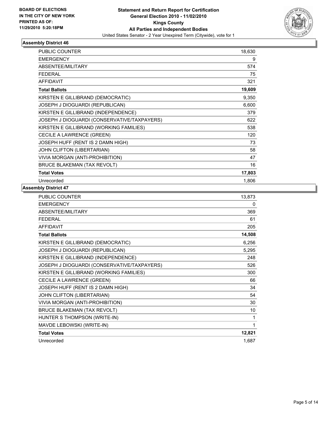

| <b>PUBLIC COUNTER</b>                       | 18,630 |
|---------------------------------------------|--------|
| <b>EMERGENCY</b>                            | 9      |
| ABSENTEE/MILITARY                           | 574    |
| <b>FEDERAL</b>                              | 75     |
| <b>AFFIDAVIT</b>                            | 321    |
| <b>Total Ballots</b>                        | 19,609 |
| KIRSTEN E GILLIBRAND (DEMOCRATIC)           | 9,350  |
| JOSEPH J DIOGUARDI (REPUBLICAN)             | 6,600  |
| KIRSTEN E GILLIBRAND (INDEPENDENCE)         | 379    |
| JOSEPH J DIOGUARDI (CONSERVATIVE/TAXPAYERS) | 622    |
| KIRSTEN E GILLIBRAND (WORKING FAMILIES)     | 538    |
| CECILE A LAWRENCE (GREEN)                   | 120    |
| JOSEPH HUFF (RENT IS 2 DAMN HIGH)           | 73     |
| JOHN CLIFTON (LIBERTARIAN)                  | 58     |
| VIVIA MORGAN (ANTI-PROHIBITION)             | 47     |
| <b>BRUCE BLAKEMAN (TAX REVOLT)</b>          | 16     |
| <b>Total Votes</b>                          | 17,803 |
| Unrecorded                                  | 1,806  |

| <b>PUBLIC COUNTER</b>                       | 13,873 |
|---------------------------------------------|--------|
| <b>EMERGENCY</b>                            | 0      |
| ABSENTEE/MILITARY                           | 369    |
| <b>FEDERAL</b>                              | 61     |
| <b>AFFIDAVIT</b>                            | 205    |
| <b>Total Ballots</b>                        | 14,508 |
| KIRSTEN E GILLIBRAND (DEMOCRATIC)           | 6,256  |
| JOSEPH J DIOGUARDI (REPUBLICAN)             | 5,295  |
| KIRSTEN E GILLIBRAND (INDEPENDENCE)         | 248    |
| JOSEPH J DIOGUARDI (CONSERVATIVE/TAXPAYERS) | 526    |
| KIRSTEN E GILLIBRAND (WORKING FAMILIES)     | 300    |
| CECILE A LAWRENCE (GREEN)                   | 66     |
| JOSEPH HUFF (RENT IS 2 DAMN HIGH)           | 34     |
| JOHN CLIFTON (LIBERTARIAN)                  | 54     |
| VIVIA MORGAN (ANTI-PROHIBITION)             | 30     |
| <b>BRUCE BLAKEMAN (TAX REVOLT)</b>          | 10     |
| HUNTER S THOMPSON (WRITE-IN)                | 1      |
| MAVDE LEBOWSKI (WRITE-IN)                   | 1      |
| <b>Total Votes</b>                          | 12,821 |
| Unrecorded                                  | 1,687  |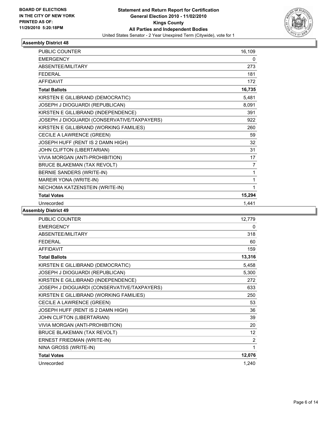

| <b>PUBLIC COUNTER</b>                       | 16,109 |
|---------------------------------------------|--------|
| <b>EMERGENCY</b>                            | 0      |
| <b>ABSENTEE/MILITARY</b>                    | 273    |
| <b>FEDERAL</b>                              | 181    |
| <b>AFFIDAVIT</b>                            | 172    |
| <b>Total Ballots</b>                        | 16,735 |
| KIRSTEN E GILLIBRAND (DEMOCRATIC)           | 5,481  |
| JOSEPH J DIOGUARDI (REPUBLICAN)             | 8,091  |
| KIRSTEN E GILLIBRAND (INDEPENDENCE)         | 391    |
| JOSEPH J DIOGUARDI (CONSERVATIVE/TAXPAYERS) | 922    |
| KIRSTEN E GILLIBRAND (WORKING FAMILIES)     | 260    |
| CECILE A LAWRENCE (GREEN)                   | 59     |
| JOSEPH HUFF (RENT IS 2 DAMN HIGH)           | 32     |
| JOHN CLIFTON (LIBERTARIAN)                  | 31     |
| VIVIA MORGAN (ANTI-PROHIBITION)             | 17     |
| <b>BRUCE BLAKEMAN (TAX REVOLT)</b>          | 7      |
| BERNIE SANDERS (WRITE-IN)                   | 1      |
| MAREIR YONA (WRITE-IN)                      | 1      |
| NECHOMA KATZENSTEIN (WRITE-IN)              | 1      |
| <b>Total Votes</b>                          | 15,294 |
| Unrecorded                                  | 1.441  |

| <b>PUBLIC COUNTER</b>                       | 12,779          |
|---------------------------------------------|-----------------|
| <b>EMERGENCY</b>                            | 0               |
| ABSENTEE/MILITARY                           | 318             |
| <b>FEDERAL</b>                              | 60              |
| <b>AFFIDAVIT</b>                            | 159             |
| <b>Total Ballots</b>                        | 13,316          |
| KIRSTEN E GILLIBRAND (DEMOCRATIC)           | 5,458           |
| JOSEPH J DIOGUARDI (REPUBLICAN)             | 5,300           |
| KIRSTEN E GILLIBRAND (INDEPENDENCE)         | 272             |
| JOSEPH J DIOGUARDI (CONSERVATIVE/TAXPAYERS) | 633             |
| KIRSTEN E GILLIBRAND (WORKING FAMILIES)     | 250             |
| CECILE A LAWRENCE (GREEN)                   | 53              |
| JOSEPH HUFF (RENT IS 2 DAMN HIGH)           | 36              |
| JOHN CLIFTON (LIBERTARIAN)                  | 39              |
| VIVIA MORGAN (ANTI-PROHIBITION)             | 20              |
| <b>BRUCE BLAKEMAN (TAX REVOLT)</b>          | 12 <sup>°</sup> |
| ERNEST FRIEDMAN (WRITE-IN)                  | 2               |
| NINA GROSS (WRITE-IN)                       | 1               |
| <b>Total Votes</b>                          | 12,076          |
| Unrecorded                                  | 1,240           |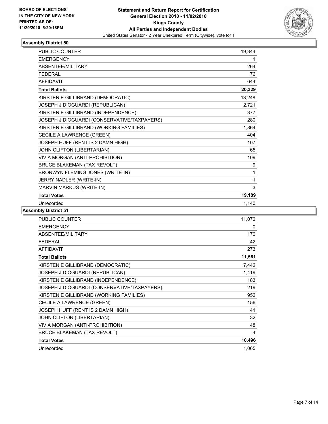

| <b>PUBLIC COUNTER</b>                       | 19,344 |
|---------------------------------------------|--------|
| <b>EMERGENCY</b>                            | 1      |
| ABSENTEE/MILITARY                           | 264    |
| <b>FEDERAL</b>                              | 76     |
| <b>AFFIDAVIT</b>                            | 644    |
| <b>Total Ballots</b>                        | 20,329 |
| KIRSTEN E GILLIBRAND (DEMOCRATIC)           | 13,248 |
| JOSEPH J DIOGUARDI (REPUBLICAN)             | 2,721  |
| KIRSTEN E GILLIBRAND (INDEPENDENCE)         | 377    |
| JOSEPH J DIOGUARDI (CONSERVATIVE/TAXPAYERS) | 280    |
| KIRSTEN E GILLIBRAND (WORKING FAMILIES)     | 1,864  |
| CECILE A LAWRENCE (GREEN)                   | 404    |
| JOSEPH HUFF (RENT IS 2 DAMN HIGH)           | 107    |
| JOHN CLIFTON (LIBERTARIAN)                  | 65     |
| VIVIA MORGAN (ANTI-PROHIBITION)             | 109    |
| <b>BRUCE BLAKEMAN (TAX REVOLT)</b>          | 9      |
| BRONWYN FLEMING JONES (WRITE-IN)            | 1      |
| JERRY NADLER (WRITE-IN)                     | 1      |
| MARVIN MARKUS (WRITE-IN)                    | 3      |
| <b>Total Votes</b>                          | 19,189 |
| Unrecorded                                  | 1,140  |

| <b>PUBLIC COUNTER</b>                       | 11,076 |
|---------------------------------------------|--------|
| <b>EMERGENCY</b>                            | 0      |
| ABSENTEE/MILITARY                           | 170    |
| <b>FEDERAL</b>                              | 42     |
| <b>AFFIDAVIT</b>                            | 273    |
| <b>Total Ballots</b>                        | 11,561 |
| KIRSTEN E GILLIBRAND (DEMOCRATIC)           | 7,442  |
| JOSEPH J DIOGUARDI (REPUBLICAN)             | 1,419  |
| KIRSTEN E GILLIBRAND (INDEPENDENCE)         | 183    |
| JOSEPH J DIOGUARDI (CONSERVATIVE/TAXPAYERS) | 219    |
| KIRSTEN E GILLIBRAND (WORKING FAMILIES)     | 952    |
| CECILE A LAWRENCE (GREEN)                   | 156    |
| JOSEPH HUFF (RENT IS 2 DAMN HIGH)           | 41     |
| JOHN CLIFTON (LIBERTARIAN)                  | 32     |
| VIVIA MORGAN (ANTI-PROHIBITION)             | 48     |
| <b>BRUCE BLAKEMAN (TAX REVOLT)</b>          | 4      |
| <b>Total Votes</b>                          | 10,496 |
| Unrecorded                                  | 1,065  |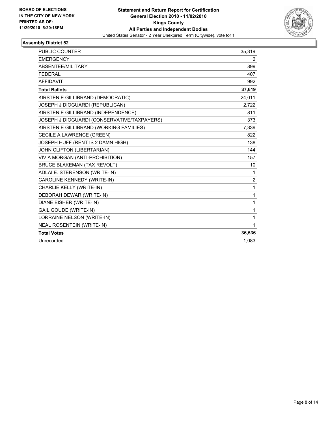

| <b>PUBLIC COUNTER</b>                       | 35,319 |
|---------------------------------------------|--------|
| <b>EMERGENCY</b>                            | 2      |
| ABSENTEE/MILITARY                           | 899    |
| <b>FEDERAL</b>                              | 407    |
| <b>AFFIDAVIT</b>                            | 992    |
| <b>Total Ballots</b>                        | 37,619 |
| KIRSTEN E GILLIBRAND (DEMOCRATIC)           | 24,011 |
| JOSEPH J DIOGUARDI (REPUBLICAN)             | 2,722  |
| KIRSTEN E GILLIBRAND (INDEPENDENCE)         | 811    |
| JOSEPH J DIOGUARDI (CONSERVATIVE/TAXPAYERS) | 373    |
| KIRSTEN E GILLIBRAND (WORKING FAMILIES)     | 7,339  |
| CECILE A LAWRENCE (GREEN)                   | 822    |
| JOSEPH HUFF (RENT IS 2 DAMN HIGH)           | 138    |
| JOHN CLIFTON (LIBERTARIAN)                  | 144    |
| VIVIA MORGAN (ANTI-PROHIBITION)             | 157    |
| <b>BRUCE BLAKEMAN (TAX REVOLT)</b>          | 10     |
| ADLAI E. STERENSON (WRITE-IN)               | 1      |
| CAROLINE KENNEDY (WRITE-IN)                 | 2      |
| CHARLIE KELLY (WRITE-IN)                    | 1      |
| DEBORAH DEWAR (WRITE-IN)                    | 1      |
| DIANE EISHER (WRITE-IN)                     | 1      |
| <b>GAIL GOUDE (WRITE-IN)</b>                | 1      |
| LORRAINE NELSON (WRITE-IN)                  | 1      |
| <b>NEAL ROSENTEIN (WRITE-IN)</b>            | 1      |
| <b>Total Votes</b>                          | 36,536 |
| Unrecorded                                  | 1,083  |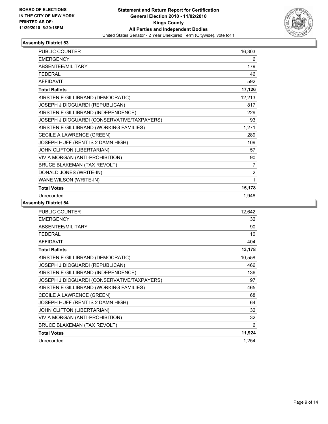

| <b>PUBLIC COUNTER</b>                       | 16,303         |
|---------------------------------------------|----------------|
| <b>EMERGENCY</b>                            | 6              |
| ABSENTEE/MILITARY                           | 179            |
| <b>FEDERAL</b>                              | 46             |
| <b>AFFIDAVIT</b>                            | 592            |
| <b>Total Ballots</b>                        | 17,126         |
| KIRSTEN E GILLIBRAND (DEMOCRATIC)           | 12,213         |
| JOSEPH J DIOGUARDI (REPUBLICAN)             | 817            |
| KIRSTEN E GILLIBRAND (INDEPENDENCE)         | 229            |
| JOSEPH J DIOGUARDI (CONSERVATIVE/TAXPAYERS) | 93             |
| KIRSTEN E GILLIBRAND (WORKING FAMILIES)     | 1,271          |
| CECILE A LAWRENCE (GREEN)                   | 289            |
| JOSEPH HUFF (RENT IS 2 DAMN HIGH)           | 109            |
| JOHN CLIFTON (LIBERTARIAN)                  | 57             |
| VIVIA MORGAN (ANTI-PROHIBITION)             | 90             |
| <b>BRUCE BLAKEMAN (TAX REVOLT)</b>          | $\overline{7}$ |
| DONALD JONES (WRITE-IN)                     | $\overline{2}$ |
| WANE WILSON (WRITE-IN)                      | 1              |
| <b>Total Votes</b>                          | 15,178         |
| Unrecorded                                  | 1,948          |

| <b>PUBLIC COUNTER</b>                       | 12,642 |
|---------------------------------------------|--------|
| <b>EMERGENCY</b>                            | 32     |
| ABSENTEE/MILITARY                           | 90     |
| <b>FEDERAL</b>                              | 10     |
| <b>AFFIDAVIT</b>                            | 404    |
| <b>Total Ballots</b>                        | 13,178 |
| KIRSTEN E GILLIBRAND (DEMOCRATIC)           | 10,558 |
| JOSEPH J DIOGUARDI (REPUBLICAN)             | 466    |
| KIRSTEN E GILLIBRAND (INDEPENDENCE)         | 136    |
| JOSEPH J DIOGUARDI (CONSERVATIVE/TAXPAYERS) | 97     |
| KIRSTEN E GILLIBRAND (WORKING FAMILIES)     | 465    |
| CECILE A LAWRENCE (GREEN)                   | 68     |
| JOSEPH HUFF (RENT IS 2 DAMN HIGH)           | 64     |
| JOHN CLIFTON (LIBERTARIAN)                  | 32     |
| VIVIA MORGAN (ANTI-PROHIBITION)             | 32     |
| BRUCE BLAKEMAN (TAX REVOLT)                 | 6      |
| <b>Total Votes</b>                          | 11,924 |
| Unrecorded                                  | 1,254  |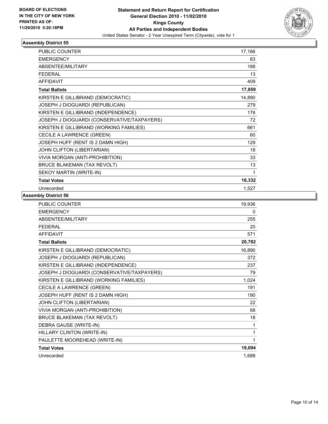

| <b>PUBLIC COUNTER</b>                       | 17,166 |
|---------------------------------------------|--------|
| <b>EMERGENCY</b>                            | 83     |
| ABSENTEE/MILITARY                           | 188    |
| <b>FEDERAL</b>                              | 13     |
| <b>AFFIDAVIT</b>                            | 409    |
| <b>Total Ballots</b>                        | 17,859 |
| KIRSTEN E GILLIBRAND (DEMOCRATIC)           | 14,890 |
| JOSEPH J DIOGUARDI (REPUBLICAN)             | 279    |
| KIRSTEN E GILLIBRAND (INDEPENDENCE)         | 176    |
| JOSEPH J DIOGUARDI (CONSERVATIVE/TAXPAYERS) | 72     |
| KIRSTEN E GILLIBRAND (WORKING FAMILIES)     | 661    |
| CECILE A LAWRENCE (GREEN)                   | 60     |
| JOSEPH HUFF (RENT IS 2 DAMN HIGH)           | 129    |
| JOHN CLIFTON (LIBERTARIAN)                  | 18     |
| VIVIA MORGAN (ANTI-PROHIBITION)             | 33     |
| <b>BRUCE BLAKEMAN (TAX REVOLT)</b>          | 13     |
| SEKOY MARTIN (WRITE-IN)                     | 1      |
| <b>Total Votes</b>                          | 16,332 |
| Unrecorded                                  | 1,527  |

| <b>PUBLIC COUNTER</b>                       | 19,936       |
|---------------------------------------------|--------------|
| <b>EMERGENCY</b>                            | 0            |
| ABSENTEE/MILITARY                           | 255          |
| <b>FEDERAL</b>                              | 20           |
| <b>AFFIDAVIT</b>                            | 571          |
| <b>Total Ballots</b>                        | 20,782       |
| KIRSTEN E GILLIBRAND (DEMOCRATIC)           | 16,890       |
| JOSEPH J DIOGUARDI (REPUBLICAN)             | 372          |
| KIRSTEN E GILLIBRAND (INDEPENDENCE)         | 237          |
| JOSEPH J DIOGUARDI (CONSERVATIVE/TAXPAYERS) | 79           |
| KIRSTEN E GILLIBRAND (WORKING FAMILIES)     | 1,024        |
| CECILE A LAWRENCE (GREEN)                   | 191          |
| JOSEPH HUFF (RENT IS 2 DAMN HIGH)           | 190          |
| JOHN CLIFTON (LIBERTARIAN)                  | 22           |
| VIVIA MORGAN (ANTI-PROHIBITION)             | 68           |
| <b>BRUCE BLAKEMAN (TAX REVOLT)</b>          | 18           |
| DEBRA GAUSE (WRITE-IN)                      | 1            |
| HILLARY CLINTON (WRITE-IN)                  | $\mathbf{1}$ |
| PAULETTE MOOREHEAD (WRITE-IN)               | 1            |
| <b>Total Votes</b>                          | 19,094       |
| Unrecorded                                  | 1,688        |
|                                             |              |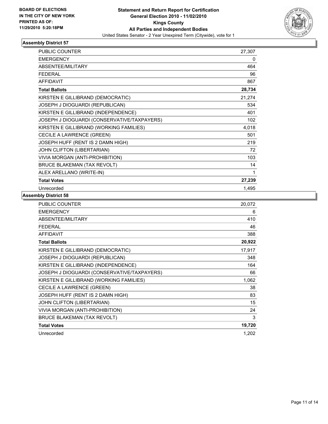

| <b>PUBLIC COUNTER</b>                       | 27,307 |
|---------------------------------------------|--------|
| <b>EMERGENCY</b>                            | 0      |
| <b>ABSENTEE/MILITARY</b>                    | 464    |
| <b>FEDERAL</b>                              | 96     |
| <b>AFFIDAVIT</b>                            | 867    |
| <b>Total Ballots</b>                        | 28,734 |
| KIRSTEN E GILLIBRAND (DEMOCRATIC)           | 21,274 |
| JOSEPH J DIOGUARDI (REPUBLICAN)             | 534    |
| KIRSTEN E GILLIBRAND (INDEPENDENCE)         | 401    |
| JOSEPH J DIOGUARDI (CONSERVATIVE/TAXPAYERS) | 102    |
| KIRSTEN E GILLIBRAND (WORKING FAMILIES)     | 4,018  |
| CECILE A LAWRENCE (GREEN)                   | 501    |
| JOSEPH HUFF (RENT IS 2 DAMN HIGH)           | 219    |
| JOHN CLIFTON (LIBERTARIAN)                  | 72     |
| VIVIA MORGAN (ANTI-PROHIBITION)             | 103    |
| <b>BRUCE BLAKEMAN (TAX REVOLT)</b>          | 14     |
| ALEX ARELLANO (WRITE-IN)                    | 1      |
| <b>Total Votes</b>                          | 27,239 |
| Unrecorded                                  | 1,495  |

| PUBLIC COUNTER                              | 20,072 |
|---------------------------------------------|--------|
| <b>EMERGENCY</b>                            | 6      |
| ABSENTEE/MILITARY                           | 410    |
| <b>FEDERAL</b>                              | 46     |
| <b>AFFIDAVIT</b>                            | 388    |
| <b>Total Ballots</b>                        | 20,922 |
| KIRSTEN E GILLIBRAND (DEMOCRATIC)           | 17,917 |
| JOSEPH J DIOGUARDI (REPUBLICAN)             | 348    |
| KIRSTEN E GILLIBRAND (INDEPENDENCE)         | 164    |
| JOSEPH J DIOGUARDI (CONSERVATIVE/TAXPAYERS) | 66     |
| KIRSTEN E GILLIBRAND (WORKING FAMILIES)     | 1,062  |
| CECILE A LAWRENCE (GREEN)                   | 38     |
| JOSEPH HUFF (RENT IS 2 DAMN HIGH)           | 83     |
| JOHN CLIFTON (LIBERTARIAN)                  | 15     |
| VIVIA MORGAN (ANTI-PROHIBITION)             | 24     |
| BRUCE BLAKEMAN (TAX REVOLT)                 | 3      |
| <b>Total Votes</b>                          | 19,720 |
| Unrecorded                                  | 1,202  |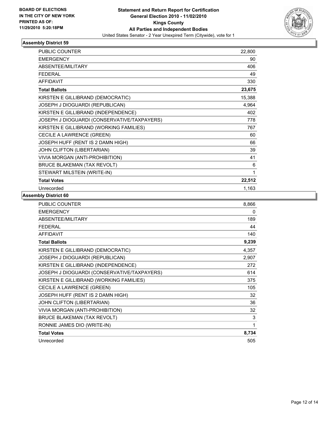

| <b>PUBLIC COUNTER</b>                       | 22,800 |
|---------------------------------------------|--------|
| <b>EMERGENCY</b>                            | 90     |
| ABSENTEE/MILITARY                           | 406    |
| <b>FEDERAL</b>                              | 49     |
| <b>AFFIDAVIT</b>                            | 330    |
| <b>Total Ballots</b>                        | 23,675 |
| KIRSTEN E GILLIBRAND (DEMOCRATIC)           | 15,388 |
| JOSEPH J DIOGUARDI (REPUBLICAN)             | 4,964  |
| KIRSTEN E GILLIBRAND (INDEPENDENCE)         | 402    |
| JOSEPH J DIOGUARDI (CONSERVATIVE/TAXPAYERS) | 778    |
| KIRSTEN E GILLIBRAND (WORKING FAMILIES)     | 767    |
| CECILE A LAWRENCE (GREEN)                   | 60     |
| JOSEPH HUFF (RENT IS 2 DAMN HIGH)           | 66     |
| JOHN CLIFTON (LIBERTARIAN)                  | 39     |
| VIVIA MORGAN (ANTI-PROHIBITION)             | 41     |
| <b>BRUCE BLAKEMAN (TAX REVOLT)</b>          | 6      |
| STEWART MILSTEIN (WRITE-IN)                 | 1      |
| <b>Total Votes</b>                          | 22,512 |
| Unrecorded                                  | 1,163  |

| <b>PUBLIC COUNTER</b>                       | 8,866 |
|---------------------------------------------|-------|
| <b>EMERGENCY</b>                            | 0     |
| <b>ABSENTEE/MILITARY</b>                    | 189   |
| <b>FEDERAL</b>                              | 44    |
| <b>AFFIDAVIT</b>                            | 140   |
| <b>Total Ballots</b>                        | 9,239 |
| KIRSTEN E GILLIBRAND (DEMOCRATIC)           | 4,357 |
| JOSEPH J DIOGUARDI (REPUBLICAN)             | 2,907 |
| KIRSTEN E GILLIBRAND (INDEPENDENCE)         | 272   |
| JOSEPH J DIOGUARDI (CONSERVATIVE/TAXPAYERS) | 614   |
| KIRSTEN E GILLIBRAND (WORKING FAMILIES)     | 375   |
| CECILE A LAWRENCE (GREEN)                   | 105   |
| JOSEPH HUFF (RENT IS 2 DAMN HIGH)           | 32    |
| <b>JOHN CLIFTON (LIBERTARIAN)</b>           | 36    |
| VIVIA MORGAN (ANTI-PROHIBITION)             | 32    |
| <b>BRUCE BLAKEMAN (TAX REVOLT)</b>          | 3     |
| RONNIE JAMES DIO (WRITE-IN)                 | 1     |
| <b>Total Votes</b>                          | 8,734 |
| Unrecorded                                  | 505   |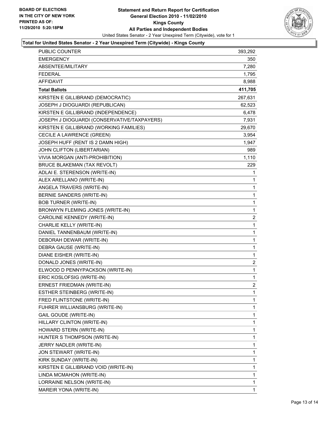

#### **Total for United States Senator - 2 Year Unexpired Term (Citywide) - Kings County**

| <b>PUBLIC COUNTER</b>                       | 393,292        |
|---------------------------------------------|----------------|
| <b>EMERGENCY</b>                            | 350            |
| ABSENTEE/MILITARY                           | 7,280          |
| <b>FEDERAL</b>                              | 1,795          |
| <b>AFFIDAVIT</b>                            | 8,988          |
| <b>Total Ballots</b>                        | 411,705        |
| KIRSTEN E GILLIBRAND (DEMOCRATIC)           | 267,631        |
| JOSEPH J DIOGUARDI (REPUBLICAN)             | 62,523         |
| KIRSTEN E GILLIBRAND (INDEPENDENCE)         | 6,478          |
| JOSEPH J DIOGUARDI (CONSERVATIVE/TAXPAYERS) | 7,931          |
| KIRSTEN E GILLIBRAND (WORKING FAMILIES)     | 29,670         |
| CECILE A LAWRENCE (GREEN)                   | 3,954          |
| JOSEPH HUFF (RENT IS 2 DAMN HIGH)           | 1,947          |
| JOHN CLIFTON (LIBERTARIAN)                  | 989            |
| VIVIA MORGAN (ANTI-PROHIBITION)             | 1,110          |
| <b>BRUCE BLAKEMAN (TAX REVOLT)</b>          | 229            |
| ADLAI E. STERENSON (WRITE-IN)               | 1              |
| ALEX ARELLANO (WRITE-IN)                    | 1              |
| ANGELA TRAVERS (WRITE-IN)                   | 1              |
| BERNIE SANDERS (WRITE-IN)                   | 1              |
| <b>BOB TURNER (WRITE-IN)</b>                | 1              |
| BRONWYN FLEMING JONES (WRITE-IN)            | 1              |
| CAROLINE KENNEDY (WRITE-IN)                 | 2              |
| CHARLIE KELLY (WRITE-IN)                    | 1              |
| DANIEL TANNENBAUM (WRITE-IN)                | 1              |
| DEBORAH DEWAR (WRITE-IN)                    | 1              |
| DEBRA GAUSE (WRITE-IN)                      | 1              |
| DIANE EISHER (WRITE-IN)                     | 1              |
| DONALD JONES (WRITE-IN)                     | 2              |
| ELWOOD D PENNYPACKSON (WRITE-IN)            | 1              |
| ERIC KOSLOFSIG (WRITE-IN)                   | 1              |
| <b>ERNEST FRIEDMAN (WRITE-IN)</b>           | $\overline{2}$ |
| ESTHER STEINBERG (WRITE-IN)                 | 1              |
| FRED FLINTSTONE (WRITE-IN)                  | 1              |
| FUHRER WILLIANSBURG (WRITE-IN)              | 1              |
| GAIL GOUDE (WRITE-IN)                       | 1              |
| HILLARY CLINTON (WRITE-IN)                  | 1              |
| HOWARD STERN (WRITE-IN)                     | 1              |
| HUNTER S THOMPSON (WRITE-IN)                | 1              |
| JERRY NADLER (WRITE-IN)                     | 1              |
| JON STEWART (WRITE-IN)                      | 1              |
| KIRK SUNDAY (WRITE-IN)                      | 1              |
| KIRSTEN E GILLIBRAND VOID (WRITE-IN)        | 1              |
| LINDA MCMAHON (WRITE-IN)                    | 1              |
| LORRAINE NELSON (WRITE-IN)                  | 1              |
| MAREIR YONA (WRITE-IN)                      | 1              |
|                                             |                |